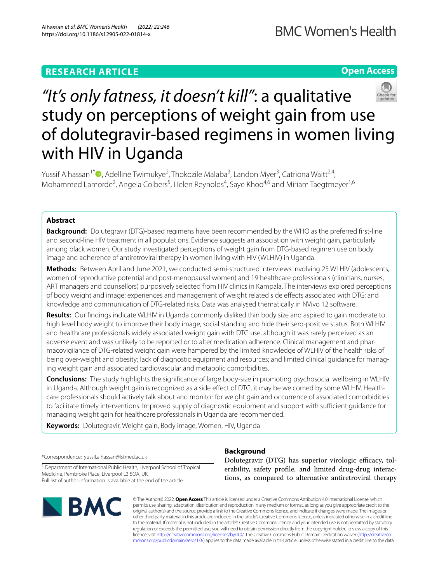# **RESEARCH ARTICLE**

**Open Access**

# *"It's only fatness, it doesn't kill"*: a qualitative study on perceptions of weight gain from use of dolutegravir-based regimens in women living with HIV in Uganda

Yussif Alhassan<sup>1[\\*](http://orcid.org/0000-0003-4155-546X)</sup><sup>®</sup>, Adelline Twimukye<sup>2</sup>, Thokozile Malaba<sup>3</sup>, Landon Myer<sup>3</sup>, Catriona Waitt<sup>2,4</sup>, Mohammed Lamorde<sup>2</sup>, Angela Colbers<sup>5</sup>, Helen Reynolds<sup>4</sup>, Saye Khoo<sup>4,6</sup> and Miriam Taegtmeyer<sup>1,6</sup>

# **Abstract**

**Background:** Dolutegravir (DTG)-based regimens have been recommended by the WHO as the preferred frst-line and second-line HIV treatment in all populations. Evidence suggests an association with weight gain, particularly among black women. Our study investigated perceptions of weight gain from DTG-based regimen use on body image and adherence of antiretroviral therapy in women living with HIV (WLHIV) in Uganda.

**Methods:** Between April and June 2021, we conducted semi-structured interviews involving 25 WLHIV (adolescents, women of reproductive potential and post-menopausal women) and 19 healthcare professionals (clinicians, nurses, ART managers and counsellors) purposively selected from HIV clinics in Kampala. The interviews explored perceptions of body weight and image; experiences and management of weight related side efects associated with DTG; and knowledge and communication of DTG-related risks. Data was analysed thematically in NVivo 12 software.

**Results:** Our fndings indicate WLHIV in Uganda commonly disliked thin body size and aspired to gain moderate to high level body weight to improve their body image, social standing and hide their sero-positive status. Both WLHIV and healthcare professionals widely associated weight gain with DTG use, although it was rarely perceived as an adverse event and was unlikely to be reported or to alter medication adherence. Clinical management and pharmacovigilance of DTG-related weight gain were hampered by the limited knowledge of WLHIV of the health risks of being over-weight and obesity; lack of diagnostic equipment and resources; and limited clinical guidance for managing weight gain and associated cardiovascular and metabolic comorbidities.

**Conclusions:** The study highlights the signifcance of large body-size in promoting psychosocial wellbeing in WLHIV in Uganda. Although weight gain is recognized as a side efect of DTG, it may be welcomed by some WLHIV. Healthcare professionals should actively talk about and monitor for weight gain and occurrence of associated comorbidities to facilitate timely interventions. Improved supply of diagnostic equipment and support with sufficient guidance for managing weight gain for healthcare professionals in Uganda are recommended.

**Keywords:** Dolutegravir, Weight gain, Body image, Women, HIV, Uganda

\*Correspondence: yussif.alhassan@lstmed.ac.uk

<sup>1</sup> Department of International Public Health, Liverpool School of Tropical Medicine, Pembroke Place, Liverpool L3 5QA, UK Full list of author information is available at the end of the article



# **Background**

Dolutegravir (DTG) has superior virologic efficacy, tolerability, safety profle, and limited drug-drug interactions, as compared to alternative antiretroviral therapy

© The Author(s) 2022. **Open Access** This article is licensed under a Creative Commons Attribution 4.0 International License, which permits use, sharing, adaptation, distribution and reproduction in any medium or format, as long as you give appropriate credit to the original author(s) and the source, provide a link to the Creative Commons licence, and indicate if changes were made. The images or other third party material in this article are included in the article's Creative Commons licence, unless indicated otherwise in a credit line to the material. If material is not included in the article's Creative Commons licence and your intended use is not permitted by statutory regulation or exceeds the permitted use, you will need to obtain permission directly from the copyright holder. To view a copy of this licence, visit [http://creativecommons.org/licenses/by/4.0/.](http://creativecommons.org/licenses/by/4.0/) The Creative Commons Public Domain Dedication waiver ([http://creativeco](http://creativecommons.org/publicdomain/zero/1.0/) [mmons.org/publicdomain/zero/1.0/](http://creativecommons.org/publicdomain/zero/1.0/)) applies to the data made available in this article, unless otherwise stated in a credit line to the data.

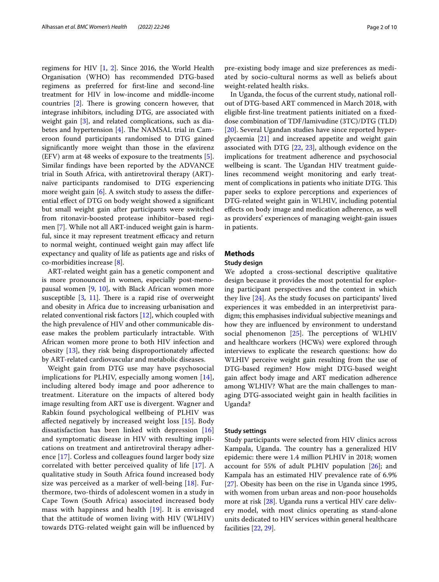regimens for HIV [[1,](#page-8-0) [2\]](#page-8-1). Since 2016, the World Health Organisation (WHO) has recommended DTG-based regimens as preferred for frst-line and second-line treatment for HIV in low-income and middle-income countries  $[2]$  $[2]$ . There is growing concern however, that integrase inhibitors, including DTG, are associated with weight gain [[3\]](#page-8-2), and related complications, such as diabetes and hypertension  $[4]$  $[4]$ . The NAMSAL trial in Cameroon found participants randomised to DTG gained signifcantly more weight than those in the efavirenz (EFV) arm at 48 weeks of exposure to the treatments [\[5](#page-8-4)]. Similar fndings have been reported by the ADVANCE trial in South Africa, with antiretroviral therapy (ART) naïve participants randomised to DTG experiencing more weight gain [\[6](#page-8-5)]. A switch study to assess the diferential efect of DTG on body weight showed a signifcant but small weight gain after participants were switched from ritonavir-boosted protease inhibitor–based regimen [\[7](#page-8-6)]. While not all ART-induced weight gain is harmful, since it may represent treatment efficacy and return to normal weight, continued weight gain may afect life expectancy and quality of life as patients age and risks of co-morbidities increase [\[8](#page-8-7)].

ART-related weight gain has a genetic component and is more pronounced in women, especially post-menopausal women [\[9](#page-8-8), [10\]](#page-8-9), with Black African women more susceptible  $[3, 11]$  $[3, 11]$  $[3, 11]$ . There is a rapid rise of overweight and obesity in Africa due to increasing urbanisation and related conventional risk factors [[12\]](#page-9-1), which coupled with the high prevalence of HIV and other communicable disease makes the problem particularly intractable. With African women more prone to both HIV infection and obesity [[13\]](#page-9-2), they risk being disproportionately afected by ART-related cardiovascular and metabolic diseases.

Weight gain from DTG use may have psychosocial implications for PLHIV, especially among women [[14\]](#page-9-3), including altered body image and poor adherence to treatment. Literature on the impacts of altered body image resulting from ART use is divergent. Wagner and Rabkin found psychological wellbeing of PLHIV was afected negatively by increased weight loss [[15\]](#page-9-4). Body dissatisfaction has been linked with depression [\[16](#page-9-5)] and symptomatic disease in HIV with resulting implications on treatment and antiretroviral therapy adherence [[17\]](#page-9-6). Corless and colleagues found larger body size correlated with better perceived quality of life [[17](#page-9-6)]. A qualitative study in South Africa found increased body size was perceived as a marker of well-being [[18\]](#page-9-7). Furthermore, two-thirds of adolescent women in a study in Cape Town (South Africa) associated increased body mass with happiness and health [[19\]](#page-9-8). It is envisaged that the attitude of women living with HIV (WLHIV) towards DTG-related weight gain will be infuenced by pre-existing body image and size preferences as mediated by socio-cultural norms as well as beliefs about weight-related health risks.

In Uganda, the focus of the current study, national rollout of DTG-based ART commenced in March 2018, with eligible frst-line treatment patients initiated on a fxeddose combination of TDF/lamivudine (3TC)/DTG (TLD) [[20\]](#page-9-9). Several Ugandan studies have since reported hyperglycaemia [[21\]](#page-9-10) and increased appetite and weight gain associated with DTG [[22,](#page-9-11) [23](#page-9-12)], although evidence on the implications for treatment adherence and psychosocial wellbeing is scant. The Ugandan HIV treatment guidelines recommend weight monitoring and early treatment of complications in patients who initiate DTG. This paper seeks to explore perceptions and experiences of DTG-related weight gain in WLHIV, including potential efects on body image and medication adherence, as well as providers' experiences of managing weight-gain issues in patients.

# **Methods**

#### **Study design**

We adopted a cross-sectional descriptive qualitative design because it provides the most potential for exploring participant perspectives and the context in which they live [[24](#page-9-13)]. As the study focuses on participants' lived experiences it was embedded in an interpretivist paradigm; this emphasises individual subjective meanings and how they are infuenced by environment to understand social phenomenon  $[25]$  $[25]$  $[25]$ . The perceptions of WLHIV and healthcare workers (HCWs) were explored through interviews to explicate the research questions: how do WLHIV perceive weight gain resulting from the use of DTG-based regimen? How might DTG-based weight gain afect body image and ART medication adherence among WLHIV? What are the main challenges to managing DTG-associated weight gain in health facilities in Uganda?

#### **Study settings**

Study participants were selected from HIV clinics across Kampala, Uganda. The country has a generalized HIV epidemic: there were 1.4 million PLHIV in 2018; women account for 55% of adult PLHIV population [[26](#page-9-15)]; and Kampala has an estimated HIV prevalence rate of 6.9% [[27\]](#page-9-16). Obesity has been on the rise in Uganda since 1995, with women from urban areas and non-poor households more at risk [[28\]](#page-9-17). Uganda runs a vertical HIV care delivery model, with most clinics operating as stand-alone units dedicated to HIV services within general healthcare facilities [\[22](#page-9-11), [29](#page-9-18)].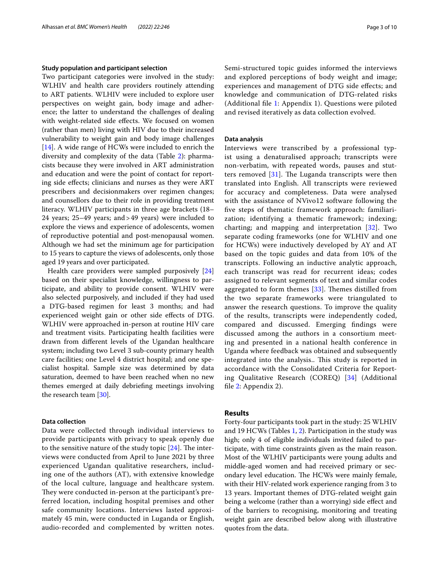#### **Study population and participant selection**

Two participant categories were involved in the study: WLHIV and health care providers routinely attending to ART patients. WLHIV were included to explore user perspectives on weight gain, body image and adherence; the latter to understand the challenges of dealing with weight-related side efects. We focused on women (rather than men) living with HIV due to their increased vulnerability to weight gain and body image challenges [[14\]](#page-9-3). A wide range of HCWs were included to enrich the diversity and complexity of the data (Table [2](#page-3-0)): pharmacists because they were involved in ART administration and education and were the point of contact for reporting side efects; clinicians and nurses as they were ART prescribers and decisionmakers over regimen changes; and counsellors due to their role in providing treatment literacy. WLHIV participants in three age brackets (18– 24 years; 25–49 years; and>49 years) were included to explore the views and experience of adolescents, women of reproductive potential and post-menopausal women. Although we had set the minimum age for participation to 15 years to capture the views of adolescents, only those aged 19 years and over participated.

Health care providers were sampled purposively [[24](#page-9-13)] based on their specialist knowledge, willingness to participate, and ability to provide consent. WLHIV were also selected purposively, and included if they had used a DTG-based regimen for least 3 months; and had experienced weight gain or other side efects of DTG. WLHIV were approached in-person at routine HIV care and treatment visits. Participating health facilities were drawn from diferent levels of the Ugandan healthcare system; including two Level 3 sub-county primary health care facilities; one Level 4 district hospital; and one specialist hospital. Sample size was determined by data saturation, deemed to have been reached when no new themes emerged at daily debriefng meetings involving the research team [[30\]](#page-9-19).

# **Data collection**

Data were collected through individual interviews to provide participants with privacy to speak openly due to the sensitive nature of the study topic  $[24]$  $[24]$ . The interviews were conducted from April to June 2021 by three experienced Ugandan qualitative researchers, including one of the authors (AT), with extensive knowledge of the local culture, language and healthcare system. They were conducted in-person at the participant's preferred location, including hospital premises and other safe community locations. Interviews lasted approximately 45 min, were conducted in Luganda or English, audio-recorded and complemented by written notes. Semi-structured topic guides informed the interviews and explored perceptions of body weight and image; experiences and management of DTG side efects; and knowledge and communication of DTG-related risks (Additional fle [1:](#page-8-10) Appendix 1). Questions were piloted and revised iteratively as data collection evolved.

#### **Data analysis**

Interviews were transcribed by a professional typist using a denaturalised approach; transcripts were non-verbatim, with repeated words, pauses and stutters removed  $[31]$  $[31]$  $[31]$ . The Luganda transcripts were then translated into English. All transcripts were reviewed for accuracy and completeness. Data were analysed with the assistance of NVivo12 software following the fve steps of thematic framework approach: familiarization; identifying a thematic framework; indexing; charting; and mapping and interpretation [\[32](#page-9-21)]. Two separate coding frameworks (one for WLHIV and one for HCWs) were inductively developed by AY and AT based on the topic guides and data from 10% of the transcripts. Following an inductive analytic approach, each transcript was read for recurrent ideas; codes assigned to relevant segments of text and similar codes aggregated to form themes  $[33]$  $[33]$ . Themes distilled from the two separate frameworks were triangulated to answer the research questions. To improve the quality of the results, transcripts were independently coded, compared and discussed. Emerging fndings were discussed among the authors in a consortium meeting and presented in a national health conference in Uganda where feedback was obtained and subsequently integrated into the analysis.. This study is reported in accordance with the Consolidated Criteria for Reporting Qualitative Research (COREQ) [[34](#page-9-23)] (Additional fle [2](#page-8-11): Appendix 2).

# **Results**

Forty-four participants took part in the study: 25 WLHIV and 19 HCWs (Tables [1,](#page-3-1) [2](#page-3-0)). Participation in the study was high; only 4 of eligible individuals invited failed to participate, with time constraints given as the main reason. Most of the WLHIV participants were young adults and middle-aged women and had received primary or secondary level education. The HCWs were mainly female, with their HIV-related work experience ranging from 3 to 13 years. Important themes of DTG-related weight gain being a welcome (rather than a worrying) side efect and of the barriers to recognising, monitoring and treating weight gain are described below along with illustrative quotes from the data.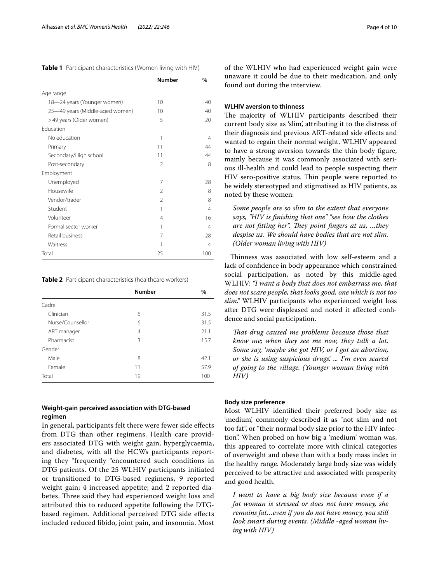<span id="page-3-1"></span>**Table 1** Participant characteristics (Women living with HIV)

|                                 | <b>Number</b>  | $\frac{0}{0}$ |
|---------------------------------|----------------|---------------|
| Age range                       |                |               |
| 18-24 years (Younger women)     | 10             | 40            |
| 25-49 years (Middle-aged women) | 10             | 40            |
| >49 years (Older women)         | 5              | 20            |
| <b>Education</b>                |                |               |
| No education                    | 1              | 4             |
| Primary                         | 11             | 44            |
| Secondary/High school           | 11             | 44            |
| Post-secondary                  | $\mathfrak{D}$ | 8             |
| Employment                      |                |               |
| Unemployed                      | 7              | 28            |
| Housewife                       | 2              | 8             |
| Vendor/trader                   | $\mathfrak{D}$ | 8             |
| Student                         | 1              | 4             |
| Volunteer                       | 4              | 16            |
| Formal sector worker            | 1              | 4             |
| Retail business                 | 7              | 28            |
| Waitress                        | 1              | 4             |
| Total                           | 25             | 100           |

<span id="page-3-0"></span>**Table 2** Participant characteristics (healthcare workers)

|                  | <b>Number</b>  | $\%$ |
|------------------|----------------|------|
| Cadre            |                |      |
| Clinician        | 6              | 31.5 |
| Nurse/Counsellor | 6              | 31.5 |
| ART manager      | $\overline{4}$ | 21.1 |
| Pharmacist       | 3              | 15.7 |
| Gender           |                |      |
| Male             | 8              | 42.1 |
| Female           | 11             | 57.9 |
| Total            | 19             | 100  |

# **Weight‑gain perceived association with DTG‑based regimen**

In general, participants felt there were fewer side efects from DTG than other regimens. Health care providers associated DTG with weight gain, hyperglycaemia, and diabetes, with all the HCWs participants reporting they "frequently "encountered such conditions in DTG patients. Of the 25 WLHIV participants initiated or transitioned to DTG-based regimens, 9 reported weight gain; 4 increased appetite; and 2 reported diabetes. Three said they had experienced weight loss and attributed this to reduced appetite following the DTGbased regimen. Additional perceived DTG side efects included reduced libido, joint pain, and insomnia. Most of the WLHIV who had experienced weight gain were unaware it could be due to their medication, and only found out during the interview.

#### **WLHIV aversion to thinness**

The majority of WLHIV participants described their current body size as 'slim', attributing it to the distress of their diagnosis and previous ART-related side efects and wanted to regain their normal weight. WLHIV appeared to have a strong aversion towards the thin body fgure, mainly because it was commonly associated with serious ill-health and could lead to people suspecting their HIV sero-positive status. Thin people were reported to be widely stereotyped and stigmatised as HIV patients, as noted by these women:

*Some people are so slim to the extent that everyone says, "HIV is fnishing that one" "see how the clothes are not fitting her". They point fingers at us, ...they despise us. We should have bodies that are not slim. (Older woman living with HIV)*

Thinness was associated with low self-esteem and a lack of confdence in body appearance which constrained social participation, as noted by this middle-aged WLHIV: *"I want a body that does not embarrass me, that does not scare people, that looks good, one which is not too slim."* WLHIV participants who experienced weight loss after DTG were displeased and noted it afected confdence and social participation.

*Tat drug caused me problems because those that know me; when they see me now, they talk a lot. Some say, 'maybe she got HIV, or I got an abortion, or she is using suspicious drugs'. ... I'm even scared of going to the village. (Younger woman living with HIV)*

#### **Body size preference**

Most WLHIV identifed their preferred body size as 'medium', commonly described it as "not slim and not too fat", or "their normal body size prior to the HIV infection". When probed on how big a 'medium' woman was, this appeared to correlate more with clinical categories of overweight and obese than with a body mass index in the healthy range. Moderately large body size was widely perceived to be attractive and associated with prosperity and good health.

*I want to have a big body size because even if a fat woman is stressed or does not have money, she remains fat…even if you do not have money, you still look smart during events. (Middle -aged woman living with HIV)*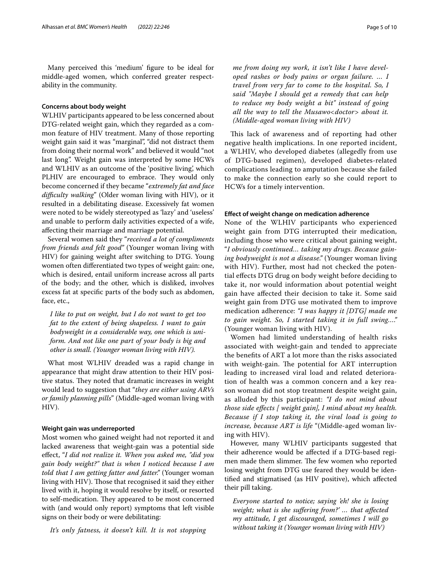Many perceived this 'medium' fgure to be ideal for middle-aged women, which conferred greater respectability in the community.

#### **Concerns about body weight**

WLHIV participants appeared to be less concerned about DTG-related weight gain, which they regarded as a common feature of HIV treatment. Many of those reporting weight gain said it was "marginal", "did not distract them from doing their normal work" and believed it would "not last long". Weight gain was interpreted by some HCWs and WLHIV as an outcome of the 'positive living', which PLHIV are encouraged to embrace. They would only become concerned if they became "*extremely fat and face difculty walking*" (Older woman living with HIV), or it resulted in a debilitating disease. Excessively fat women were noted to be widely stereotyped as 'lazy' and 'useless' and unable to perform daily activities expected of a wife, afecting their marriage and marriage potential.

Several women said they "*received a lot of compliments from friends and felt good"* (Younger woman living with HIV) for gaining weight after switching to DTG. Young women often diferentiated two types of weight gain: one, which is desired, entail uniform increase across all parts of the body; and the other, which is disliked, involves excess fat at specifc parts of the body such as abdomen, face, etc.,

*I like to put on weight, but I do not want to get too fat to the extent of being shapeless. I want to gain bodyweight in a considerable way, one which is uniform. And not like one part of your body is big and other is small. (Younger woman living with HIV).*

What most WLHIV dreaded was a rapid change in appearance that might draw attention to their HIV positive status. They noted that dramatic increases in weight would lead to suggestion that "*they are either using ARVs or family planning pills*" (Middle-aged woman living with HIV).

#### **Weight gain was underreported**

Most women who gained weight had not reported it and lacked awareness that weight-gain was a potential side efect, "*I did not realize it. When you asked me, "did you gain body weight?" that is when I noticed because I am told that I am getting fatter and fatter."* (Younger woman living with HIV). Those that recognised it said they either lived with it, hoping it would resolve by itself, or resorted to self-medication. They appeared to be most concerned with (and would only report) symptoms that left visible signs on their body or were debilitating:

*It's only fatness, it doesn't kill. It is not stopping* 

*me from doing my work, it isn't like I have developed rashes or body pains or organ failure. … I travel from very far to come to the hospital. So, I said "Maybe I should get a remedy that can help to reduce my body weight a bit" instead of going all the way to tell the Musawo<doctor> about it. (Middle-aged woman living with HIV)*

This lack of awareness and of reporting had other negative health implications. In one reported incident, a WLHIV, who developed diabetes (allegedly from use of DTG-based regimen), developed diabetes-related complications leading to amputation because she failed to make the connection early so she could report to HCWs for a timely intervention.

#### **Efect of weight change on medication adherence**

None of the WLHIV participants who experienced weight gain from DTG interrupted their medication, including those who were critical about gaining weight, "*I obviously continued… taking my drugs. Because gaining bodyweight is not a disease."* (Younger woman living with HIV). Further, most had not checked the potential efects DTG drug on body weight before deciding to take it, nor would information about potential weight gain have afected their decision to take it. Some said weight gain from DTG use motivated them to improve medication adherence: *"I was happy it [DTG] made me to gain weight. So, I started taking it in full swing…."* (Younger woman living with HIV).

Women had limited understanding of health risks associated with weight-gain and tended to appreciate the benefts of ART a lot more than the risks associated with weight-gain. The potential for ART interruption leading to increased viral load and related deterioration of health was a common concern and a key reason woman did not stop treatment despite weight gain, as alluded by this participant: *"I do not mind about those side efects [ weight gain], I mind about my health. Because if I stop taking it, the viral load is going to increase, because ART is life* "(Middle-aged woman living with HIV).

However, many WLHIV participants suggested that their adherence would be afected if a DTG-based regimen made them slimmer. The few women who reported losing weight from DTG use feared they would be identifed and stigmatised (as HIV positive), which afected their pill taking.

*Everyone started to notice; saying 'eh! she is losing weight; what is she sufering from?' … that afected my attitude, I get discouraged, sometimes I will go without taking it (Younger woman living with HIV)*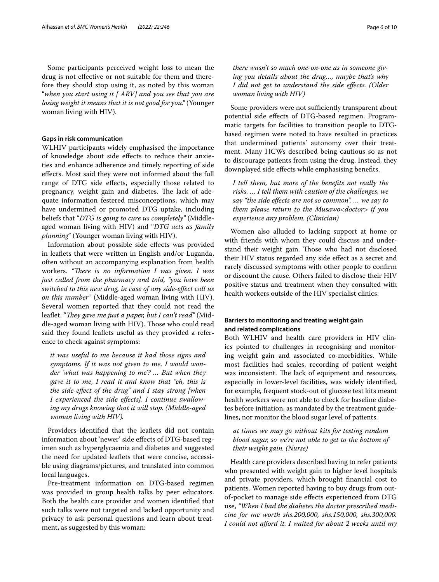Some participants perceived weight loss to mean the drug is not efective or not suitable for them and therefore they should stop using it, as noted by this woman "*when you start using it [ ARV] and you see that you are losing weight it means that it is not good for you."* (Younger woman living with HIV).

#### **Gaps in risk communication**

WLHIV participants widely emphasised the importance of knowledge about side efects to reduce their anxieties and enhance adherence and timely reporting of side efects. Most said they were not informed about the full range of DTG side effects, especially those related to pregnancy, weight gain and diabetes. The lack of adequate information festered misconceptions, which may have undermined or promoted DTG uptake, including beliefs that "*DTG is going to cure us completely"* (Middleaged woman living with HIV) and "*DTG acts as family planning*" (Younger woman living with HIV).

Information about possible side efects was provided in leafets that were written in English and/or Luganda, often without an accompanying explanation from health workers. "There is no information I was given. I was *just called from the pharmacy and told, "you have been switched to this new drug, in case of any side-efect call us on this number"* (Middle-aged woman living with HIV). Several women reported that they could not read the leaflet. "*They gave me just a paper, but I can't read*" (Middle-aged woman living with HIV). Those who could read said they found leafets useful as they provided a reference to check against symptoms:

*it was useful to me because it had those signs and symptoms. If it was not given to me, I would wonder 'what was happening to me'? … But when they gave it to me, I read it and know that "eh, this is the side-efect of the drug" and I stay strong [when I experienced the side efects]. I continue swallowing my drugs knowing that it will stop. (Middle-aged woman living with HIV).*

Providers identifed that the leafets did not contain information about 'newer' side efects of DTG-based regimen such as hyperglycaemia and diabetes and suggested the need for updated leaflets that were concise, accessible using diagrams/pictures, and translated into common local languages.

Pre-treatment information on DTG-based regimen was provided in group health talks by peer educators. Both the health care provider and women identifed that such talks were not targeted and lacked opportunity and privacy to ask personal questions and learn about treatment, as suggested by this woman:

*there wasn't so much one-on-one as in someone giving you details about the drug…, maybe that's why I did not get to understand the side efects. (Older woman living with HIV)*

Some providers were not sufficiently transparent about potential side efects of DTG-based regimen. Programmatic targets for facilities to transition people to DTGbased regimen were noted to have resulted in practices that undermined patients' autonomy over their treatment. Many HCWs described being cautious so as not to discourage patients from using the drug. Instead, they downplayed side efects while emphasising benefts.

*I tell them, but more of the benefts not really the risks. … I tell them with caution of the challenges, we say "the side efects are not so common". … we say to them please return to the Musawo<doctor> if you experience any problem. (Clinician)*

Women also alluded to lacking support at home or with friends with whom they could discuss and understand their weight gain. Those who had not disclosed their HIV status regarded any side efect as a secret and rarely discussed symptoms with other people to confrm or discount the cause. Others failed to disclose their HIV positive status and treatment when they consulted with health workers outside of the HIV specialist clinics.

# **Barriers to monitoring and treating weight gain and related complications**

Both WLHIV and health care providers in HIV clinics pointed to challenges in recognising and monitoring weight gain and associated co-morbidities. While most facilities had scales, recording of patient weight was inconsistent. The lack of equipment and resources, especially in lower-level facilities, was widely identifed, for example, frequent stock-out of glucose test kits meant health workers were not able to check for baseline diabetes before initiation, as mandated by the treatment guidelines, nor monitor the blood sugar level of patients.

*at times we may go without kits for testing random blood sugar, so we're not able to get to the bottom of their weight gain. (Nurse)*

Health care providers described having to refer patients who presented with weight gain to higher level hospitals and private providers, which brought fnancial cost to patients. Women reported having to buy drugs from outof-pocket to manage side efects experienced from DTG use, *"When I had the diabetes the doctor prescribed medicine for me worth shs.200,000, shs.150,000, shs.300,000. I could not aford it. I waited for about 2 weeks until my*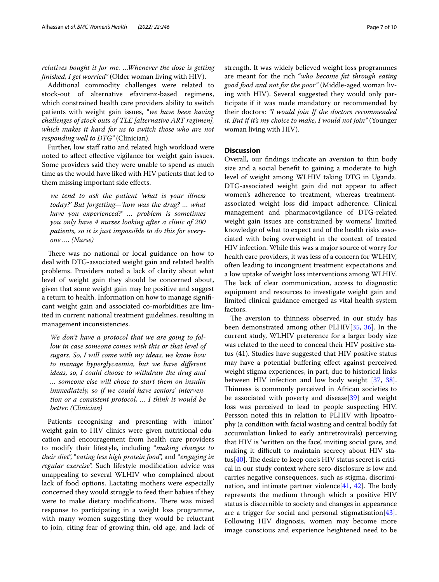*relatives bought it for me. …Whenever the dose is getting fnished, I get worried"* (Older woman living with HIV).

Additional commodity challenges were related to stock-out of alternative efavirenz-based regimens, which constrained health care providers ability to switch patients with weight gain issues, "*we have been having challenges of stock outs of TLE [alternative ART regimen], which makes it hard for us to switch those who are not responding well to DTG"* (Clinician).

Further, low staff ratio and related high workload were noted to afect efective vigilance for weight gain issues. Some providers said they were unable to spend as much time as the would have liked with HIV patients that led to them missing important side efects.

*we tend to ask the patient 'what is your illness today?' But forgetting—'how was the drug? … what have you experienced?' … problem is sometimes you only have 4 nurses looking after a clinic of 200 patients, so it is just impossible to do this for everyone …. (Nurse)*

There was no national or local guidance on how to deal with DTG-associated weight gain and related health problems. Providers noted a lack of clarity about what level of weight gain they should be concerned about, given that some weight gain may be positive and suggest a return to health. Information on how to manage signifcant weight gain and associated co-morbidities are limited in current national treatment guidelines, resulting in management inconsistencies.

*We don't have a protocol that we are going to follow in case someone comes with this or that level of sugars. So, I will come with my ideas, we know how to manage hyperglycaemia, but we have diferent ideas, so, I could choose to withdraw the drug and … someone else will chose to start them on insulin immediately, so if we could have seniors' intervention or a consistent protocol, … I think it would be better. (Clinician)*

Patients recognising and presenting with 'minor' weight gain to HIV clinics were given nutritional education and encouragement from health care providers to modify their lifestyle, including "*making changes to their diet*", "*eating less high protein food*", and "*engaging in regular exercise*". Such lifestyle modifcation advice was unappealing to several WLHIV who complained about lack of food options. Lactating mothers were especially concerned they would struggle to feed their babies if they were to make dietary modifications. There was mixed response to participating in a weight loss programme, with many women suggesting they would be reluctant to join, citing fear of growing thin, old age, and lack of strength. It was widely believed weight loss programmes are meant for the rich "*who become fat through eating good food and not for the poor"* (Middle-aged woman living with HIV). Several suggested they would only participate if it was made mandatory or recommended by their doctors: *"I would join If the doctors recommended it. But if it's my choice to make, I would not join"* (Younger woman living with HIV).

## **Discussion**

Overall, our fndings indicate an aversion to thin body size and a social beneft to gaining a moderate to high level of weight among WLHIV taking DTG in Uganda. DTG-associated weight gain did not appear to afect women's adherence to treatment, whereas treatmentassociated weight loss did impact adherence. Clinical management and pharmacovigilance of DTG-related weight gain issues are constrained by womens' limited knowledge of what to expect and of the health risks associated with being overweight in the context of treated HIV infection. While this was a major source of worry for health care providers, it was less of a concern for WLHIV, often leading to incongruent treatment expectations and a low uptake of weight loss interventions among WLHIV. The lack of clear communication, access to diagnostic equipment and resources to investigate weight gain and limited clinical guidance emerged as vital health system factors.

The aversion to thinness observed in our study has been demonstrated among other PLHIV[\[35](#page-9-24), [36\]](#page-9-25). In the current study, WLHIV preference for a larger body size was related to the need to conceal their HIV positive status (41). Studies have suggested that HIV positive status may have a potential bufering efect against perceived weight stigma experiences, in part, due to historical links between HIV infection and low body weight [[37](#page-9-26), [38](#page-9-27)]. Thinness is commonly perceived in African societies to be associated with poverty and disease[[39](#page-9-28)] and weight loss was perceived to lead to people suspecting HIV. Persson noted this in relation to PLHIV with lipoatrophy (a condition with facial wasting and central bodily fat accumulation linked to early antiretrovirals) perceiving that HIV is 'written on the face', inviting social gaze, and making it difficult to maintain secrecy about HIV status[ $40$ ]. The desire to keep one's HIV status secret is critical in our study context where sero-disclosure is low and carries negative consequences, such as stigma, discrimination, and intimate partner violence $[41, 42]$  $[41, 42]$  $[41, 42]$  $[41, 42]$  $[41, 42]$ . The body represents the medium through which a positive HIV status is discernible to society and changes in appearance are a trigger for social and personal stigmatisation[\[43](#page-9-32)]. Following HIV diagnosis, women may become more image conscious and experience heightened need to be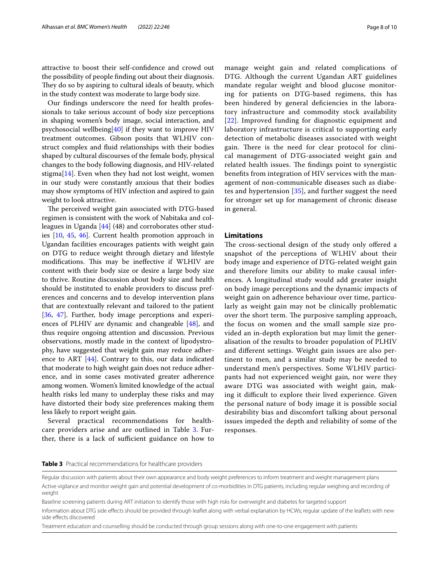attractive to boost their self-confdence and crowd out the possibility of people fnding out about their diagnosis. They do so by aspiring to cultural ideals of beauty, which in the study context was moderate to large body size.

Our fndings underscore the need for health professionals to take serious account of body size perceptions in shaping women's body image, social interaction, and psychosocial wellbeing[\[40](#page-9-29)] if they want to improve HIV treatment outcomes. Gibson posits that WLHIV construct complex and fuid relationships with their bodies shaped by cultural discourses of the female body, physical changes to the body following diagnosis, and HIV-related stigma[\[14\]](#page-9-3). Even when they had not lost weight, women in our study were constantly anxious that their bodies may show symptoms of HIV infection and aspired to gain weight to look attractive.

The perceived weight gain associated with DTG-based regimen is consistent with the work of Nabitaka and colleagues in Uganda [\[44](#page-9-33)] (48) and corroborates other studies [[10,](#page-8-9) [45,](#page-9-34) [46\]](#page-9-35). Current health promotion approach in Ugandan facilities encourages patients with weight gain on DTG to reduce weight through dietary and lifestyle modifications. This may be ineffective if WLHIV are content with their body size or desire a large body size to thrive. Routine discussion about body size and health should be instituted to enable providers to discuss preferences and concerns and to develop intervention plans that are contextually relevant and tailored to the patient [[36,](#page-9-25) [47\]](#page-9-36). Further, body image perceptions and experiences of PLHIV are dynamic and changeable [\[48\]](#page-9-37), and thus require ongoing attention and discussion. Previous observations, mostly made in the context of lipodystrophy, have suggested that weight gain may reduce adherence to ART [\[44](#page-9-33)]. Contrary to this, our data indicated that moderate to high weight gain does not reduce adherence, and in some cases motivated greater adherence among women. Women's limited knowledge of the actual health risks led many to underplay these risks and may have distorted their body size preferences making them less likely to report weight gain.

Several practical recommendations for health-care providers arise and are outlined in Table [3](#page-7-0). Further, there is a lack of sufficient guidance on how to manage weight gain and related complications of DTG. Although the current Ugandan ART guidelines mandate regular weight and blood glucose monitoring for patients on DTG-based regimens, this has been hindered by general deficiencies in the laboratory infrastructure and commodity stock availability [[22](#page-9-11)]. Improved funding for diagnostic equipment and laboratory infrastructure is critical to supporting early detection of metabolic diseases associated with weight gain. There is the need for clear protocol for clinical management of DTG-associated weight gain and related health issues. The findings point to synergistic benefts from integration of HIV services with the management of non-communicable diseases such as diabetes and hypertension [[35](#page-9-24)], and further suggest the need for stronger set up for management of chronic disease in general.

#### **Limitations**

The cross-sectional design of the study only offered a snapshot of the perceptions of WLHIV about their body image and experience of DTG-related weight gain and therefore limits our ability to make causal inferences. A longitudinal study would add greater insight on body image perceptions and the dynamic impacts of weight gain on adherence behaviour over time, particularly as weight gain may not be clinically problematic over the short term. The purposive sampling approach, the focus on women and the small sample size provided an in-depth exploration but may limit the generalisation of the results to broader population of PLHIV and diferent settings. Weight gain issues are also pertinent to men, and a similar study may be needed to understand men's perspectives. Some WLHIV participants had not experienced weight gain, nor were they aware DTG was associated with weight gain, making it difcult to explore their lived experience. Given the personal nature of body image it is possible social desirability bias and discomfort talking about personal issues impeded the depth and reliability of some of the responses.

#### <span id="page-7-0"></span>**Table 3** Practical recommendations for healthcare providers

Treatment education and counselling should be conducted through group sessions along with one-to-one engagement with patients

Regular discussion with patients about their own appearance and body weight preferences to inform treatment and weight management plans Active vigilance and monitor weight gain and potential development of co-morbidities in DTG patients, including regular weighing and recording of weight

Baseline screening patients during ART initiation to identify those with high risks for overweight and diabetes for targeted support

Information about DTG side efects should be provided through leafet along with verbal explanation by HCWs; regular update of the leafets with new side effects discovered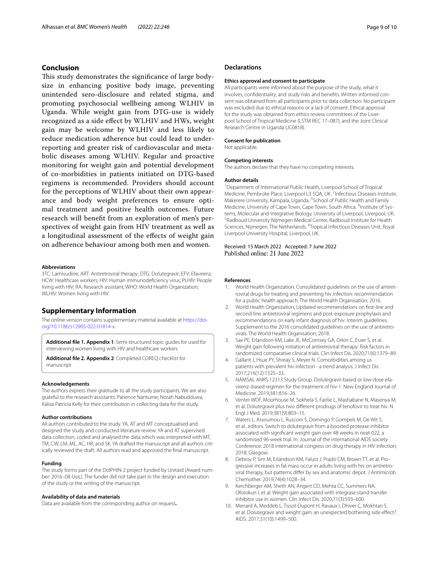# **Conclusion**

This study demonstrates the significance of large bodysize in enhancing positive body image, preventing unintended sero-disclosure and related stigma, and promoting psychosocial wellbeing among WLHIV in Uganda. While weight gain from DTG-use is widely recognized as a side efect by WLHIV and HWs, weight gain may be welcome by WLHIV and less likely to reduce medication adherence but could lead to underreporting and greater risk of cardiovascular and metabolic diseases among WLHIV. Regular and proactive monitoring for weight gain and potential development of co-morbidities in patients initiated on DTG-based regimens is recommended. Providers should account for the perceptions of WLHIV about their own appearance and body weight preferences to ensure optimal treatment and positive health outcomes. Future research will beneft from an exploration of men's perspectives of weight gain from HIV treatment as well as a longitudinal assessment of the efects of weight gain on adherence behaviour among both men and women.

#### **Abbreviations**

3TC: Lamivudine; ART: Antiretroviral therapy; DTG: Dolutegravir; EFV: Efavirenz; HCW: Healthcare workers; HIV: Human immunodefciency virus; PLHIV: People living with HIV; RA: Research assistant; WHO: World Health Organization; WLHIV: Women living with HIV.

## **Supplementary Information**

The online version contains supplementary material available at [https://doi.](https://doi.org/10.1186/s12905-022-01814-x) [org/10.1186/s12905-022-01814-x.](https://doi.org/10.1186/s12905-022-01814-x)

<span id="page-8-11"></span><span id="page-8-10"></span>**Additional fle 1. Appendix 1**: Semi-structured topic guides for used for interviewing women living with HIV and healthcare workers

**Additional fle 2. Appendix 2**: Completed COREQ checklist for manuscript

#### **Acknowledgements**

The authors express their gratitude to all the study participants. We are also grateful to the research assistants: Patience Nantume; Norah Nabudduwa, Kalisa Patricia Kelly for their contribution in collecting data for the study.

#### **Author contributions**

All authors contributed to the study. YA, AT and MT conceptualised and designed the study and conducted literature review. YA and AT supervised data collection, coded and analysed the data which was interpreted with MT, TM, CW, LM, ML, AC, HR, and SK. YA drafted the manuscript and all authors critically reviewed the draft. All authors read and approved the fnal manuscript.

#### **Funding**

The study forms part of the DolPHIN-2 project funded by Unitaid (Award number: 2016–08-UoL). The funder did not take part in the design and execution of the study or the writing of the manuscript.

#### **Availability of data and materials**

Data are available from the corresponding author on request**.**

### **Declarations**

#### **Ethics approval and consent to participate**

All participants were informed about the purpose of the study, what it involves, confdentiality, and study risks and benefts. Written informed consent was obtained from all participants prior to data collection. No participant was excluded due to ethical reasons or a lack of consent. Ethical approval for the study was obtained from ethics review committees of the Liverpool School of Tropical Medicine (LSTM REC 17–087), and the Joint Clinical Research Centre in Uganda (JC0818).

#### **Consent for publication**

Not applicable.

#### **Competing interests**

The authors declare that they have no competing interests.

#### **Author details**

<sup>1</sup> Department of International Public Health, Liverpool School of Tropical Medicine, Pembroke Place, Liverpool L3 5QA, UK.<sup>2</sup> Infectious Diseases Institute, Makerere University, Kampala, Uganda. <sup>3</sup> School of Public Health and Family Medicine, University of Cape Town, Cape Town, South Africa. <sup>4</sup>Institute of Systems, Molecular and Integrative Biology, University of Liverpool, Liverpool, UK. <sup>5</sup> Radboud University Nijmegen Medical Center, Radboud Institute for Health Sciences, Nijmegen, The Netherlands. <sup>6</sup>Tropical Infectious Diseases Unit, Royal Liverpool University Hospital, Liverpool, UK.

#### Received: 15 March 2022 Accepted: 7 June 2022 Published online: 21 June 2022

#### **References**

- <span id="page-8-0"></span>1. World Health Organization, Consolidated guidelines on the use of antiretroviral drugs for treating and preventing hiv infection: recommendation for a public health approach. The World Health Organisation; 2016.
- <span id="page-8-1"></span>2. World Health Organization, Updated recommendations on frst-line and second-line antiretroviral regimens and post-exposure prophylaxis and recommendations on early infant diagnosis of hiv: Interim guidelines. Supplement to the 2016 consolidated guidelines on the use of antiretrovirals. The World Health Organisation; 2018.
- <span id="page-8-2"></span>3. Sax PE, Erlandson KM, Lake JE, McComsey GA, Orkin C, Esser S, et al. Weight gain following initiation of antiretroviral therapy: Risk factors in randomized comparative clinical trials. Clin Infect Dis. 2020;71(6):1379–89.
- <span id="page-8-3"></span>4. Gallant J, Hsue PY, Shreay S, Meyer N. Comorbidities among us patients with prevalent hiv infection - a trend analysis. J Infect Dis. 2017;216(12):1525–33.
- <span id="page-8-4"></span>5. NAMSAL ANRS 12313 Study Group. Dolutegravir-based or low-dose efavirenz–based regimen for the treatment of hiv-1. New England Journal of Medicine. 2019;381:816–26.
- <span id="page-8-5"></span>6. Venter WDF, Moorhouse M, Sokhela S, Fairlie L, Mashabane N, Masenya M, et al. Dolutegravir plus two diferent prodrugs of tenofovir to treat hiv. N Engl J Med. 2019;381(9):803–15.
- <span id="page-8-6"></span>7. Waters L, Assoumou L, Rusconi S, Domingo P, Gompels M, De Wit S, et al., editors. Switch to dolutegravir from a boosted protease inhibitor associated with signifcant weight gain over 48 weeks in neat-022, a randomised 96-week trial. In: Journal of the international AIDS society Conference: 2018 international congress on drug therapy in HIV infection; 2018; Glasgow.
- <span id="page-8-7"></span>8. Debroy P, Sim M, Erlandson KM, Falutz J, Prado CM, Brown TT, et al. Progressive increases in fat mass occur in adults living with hiv on antiretroviral therapy, but patterns differ by sex and anatomic depot. J Antimicrob Chemother. 2019;74(4):1028–34.
- <span id="page-8-8"></span>9. Kerchberger AM, Sheth AN, Angert CD, Mehta CC, Summers NA, Ofotokun I, et al. Weight gain associated with integrase stand transfer inhibitor use in women. Clin Infect Dis. 2020;71(3):593–600.
- <span id="page-8-9"></span>10. Menard A, Meddeb L, Tissot-Dupont H, Ravaux I, Dhiver C, Mokhtari S, et al. Dolutegravir and weight gain: an unexpected bothering side efect? AIDS. 2017;31(10):1499–500.